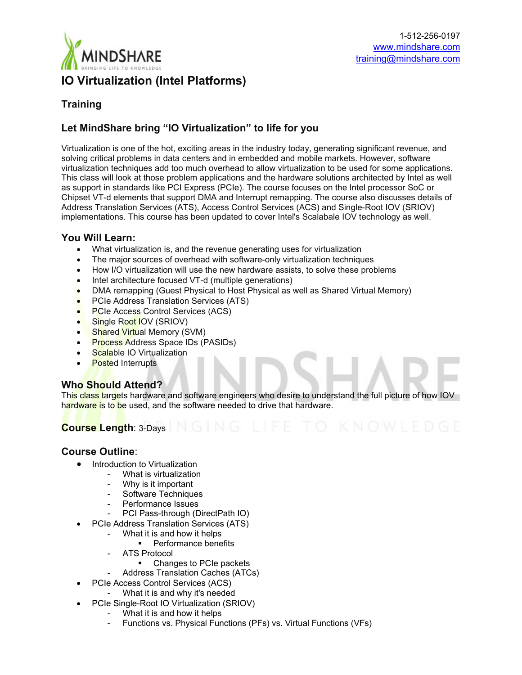

## **Training**

# **Let MindShare bring "IO Virtualization" to life for you**

Virtualization is one of the hot, exciting areas in the industry today, generating significant revenue, and solving critical problems in data centers and in embedded and mobile markets. However, software virtualization techniques add too much overhead to allow virtualization to be used for some applications. This class will look at those problem applications and the hardware solutions architected by Intel as well as support in standards like PCI Express (PCIe). The course focuses on the Intel processor SoC or Chipset VT-d elements that support DMA and Interrupt remapping. The course also discusses details of Address Translation Services (ATS), Access Control Services (ACS) and Single-Root IOV (SRIOV) implementations. This course has been updated to cover Intel's Scalabale IOV technology as well.

### **You Will Learn:**

- What virtualization is, and the revenue generating uses for virtualization
- The major sources of overhead with software-only virtualization techniques
- How I/O virtualization will use the new hardware assists, to solve these problems
- Intel architecture focused VT-d (multiple generations)
- DMA remapping (Guest Physical to Host Physical as well as Shared Virtual Memory)
- PCIe Address Translation Services (ATS)
- PCIe Access Control Services (ACS)
- Single Root IOV (SRIOV)
- Shared Virtual Memory (SVM)
- Process Address Space IDs (PASIDs)
- Scalable IO Virtualization
- **Posted Interrupts**

## **Who Should Attend?**

This class targets hardware and software engineers who desire to understand the full picture of how IOV hardware is to be used, and the software needed to drive that hardware.

# **Course Length: 3-Days | N G | N G | L | F E | T O | K N O W L E D G E**

### **Course Outline**:

- Introduction to Virtualization
	- What is virtualization
		- Why is it important
		- Software Techniques
		- Performance Issues
	- PCI Pass-through (DirectPath IO)
- PCIe Address Translation Services (ATS)
	- What it is and how it helps
		- **Performance benefits**
	- ATS Protocol
		- Changes to PCIe packets
		- Address Translation Caches (ATCs)
- PCIe Access Control Services (ACS)
	- What it is and why it's needed
	- PCIe Single-Root IO Virtualization (SRIOV)
		- What it is and how it helps
			- Functions vs. Physical Functions (PFs) vs. Virtual Functions (VFs)